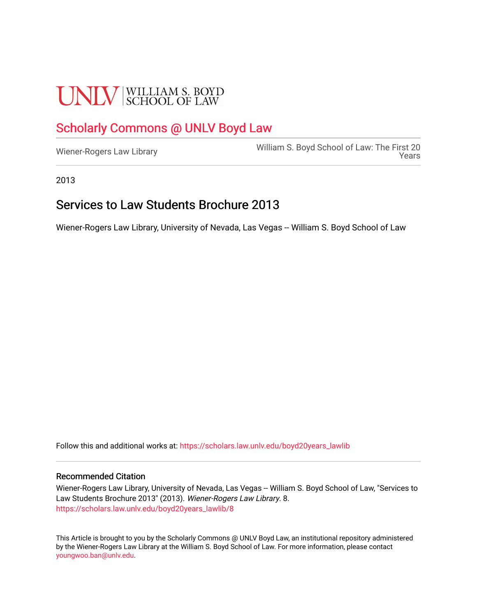# **UNLV** SCHOOL OF LAW

## [Scholarly Commons @ UNLV Boyd Law](https://scholars.law.unlv.edu/)

William S. Boyd School of Law: The First 20<br>[Wiener-Rogers Law Library](https://scholars.law.unlv.edu/boyd20years_lawlib) [Years](https://scholars.law.unlv.edu/boyd20years) 

2013

### Services to Law Students Brochure 2013

Wiener-Rogers Law Library, University of Nevada, Las Vegas -- William S. Boyd School of Law

Follow this and additional works at: [https://scholars.law.unlv.edu/boyd20years\\_lawlib](https://scholars.law.unlv.edu/boyd20years_lawlib?utm_source=scholars.law.unlv.edu%2Fboyd20years_lawlib%2F8&utm_medium=PDF&utm_campaign=PDFCoverPages)

#### Recommended Citation

Wiener-Rogers Law Library, University of Nevada, Las Vegas -- William S. Boyd School of Law, "Services to Law Students Brochure 2013" (2013). Wiener-Rogers Law Library. 8. [https://scholars.law.unlv.edu/boyd20years\\_lawlib/8](https://scholars.law.unlv.edu/boyd20years_lawlib/8?utm_source=scholars.law.unlv.edu%2Fboyd20years_lawlib%2F8&utm_medium=PDF&utm_campaign=PDFCoverPages)

This Article is brought to you by the Scholarly Commons @ UNLV Boyd Law, an institutional repository administered by the Wiener-Rogers Law Library at the William S. Boyd School of Law. For more information, please contact [youngwoo.ban@unlv.edu.](mailto:youngwoo.ban@unlv.edu)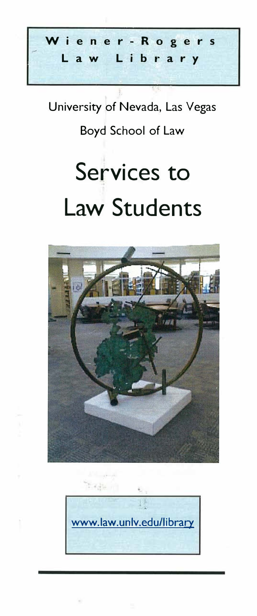**Wie ne r- R oge r s L aw Libr a ry** 

University of Nevada, Las Vegas Boyd School of Law

## Services to Law Students



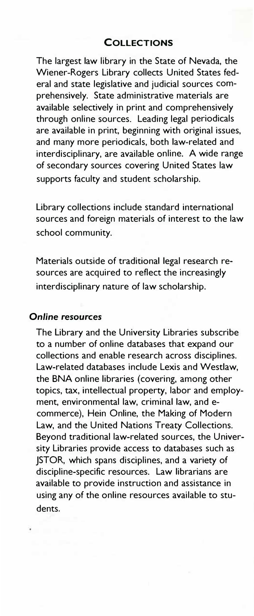#### **COLLECTIONS**

The largest law library in the State of Nevada, the Wiener-Rogers Library collects United States federal and state legislative and judicial sources comprehensively. State administrative materials are available selectively in print and comprehensively through online sources. Leading legal periodicals are available in print, beginning with original issues, and many more periodicals, both law-related and interdisciplinary, are available online. A wide range of secondary sources covering United States law supports faculty and student scholarship.

Library collections include standard international sources and foreign materials of interest to the law school community.

Materials outside of traditional legal research resources are acquired to reflect the increasingly interdisciplinary nature of law scholarship.

#### **Online resources**

The Library and the University Libraries subscribe to a number of online databases that expand our collections and enable research across disciplines. Law-related databases include Lexis and Westlaw, the BNA online libraries (covering, among other topics, tax, intellectual property, labor and employment, environmental law, criminal law, and ecommerce), Hein Online, the Making of Modern Law, and the United Nations Treaty Collections. Beyond traditional law-related sources, the University Libraries provide access to databases such as JSTOR, which spans disciplines, and a variety of discipline-specific resources. Law librarians are available to provide instruction and assistance in using any of the online resources available to students.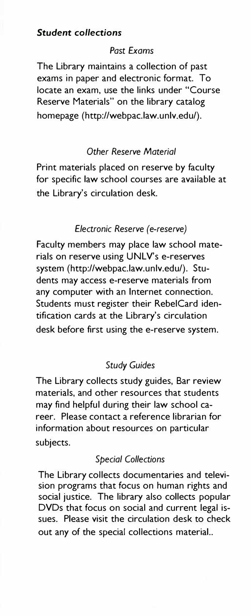#### *Student collections*

#### *Past Exams*

The Library maintains a collection of past exams in paper and electronic format. To locate an exam, use the links under "Course Reserve Materials" on the library catalog homepage (http://webpac.law.unlv.edu/).

#### *Other Reserve Material*

Print materials placed on reserve by faculty for specific law school courses are available at the Library's circulation desk.

#### *Electronic Reserve (e-reserve)*

Faculty members may place law school materials on reserve using UNLV's e-reserves system (http://webpac.law.unlv.edu/). Students may access e-reserve materials from any computer with an Internet connection. Students must register their RebelCard identification cards at the Library's circulation desk before first using the e-reserve system.

#### *Study Guides*

The Library collects study guides, Bar review materials, and other resources that students may find helpful during their law school career. Please contact a reference librarian for information about resources on particular subjects.

#### *Special Collections*

The Library collects documentaries and television programs that focus on human rights and social justice. The library also collects popular DVDs that focus on social and current legal issues. Please visit the circulation desk to check out any of the special collections material..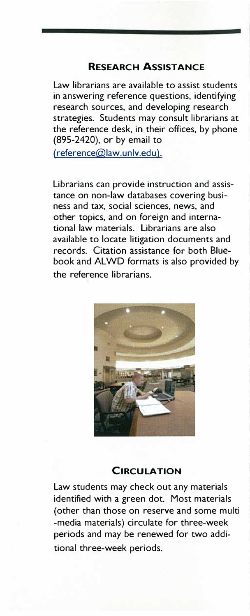#### **RESEARCH ASSISTANCE**

Law librarians are available to assist students in answering reference questions, identifying research sources, and developing research strategies. Students may consult librarians at the reference desk, in their offices, by phone (895-2420), or by email to

(reference@law.unlv.edu).

Librarians can provide instruction and assistance on non-law databases covering business and tax, social sciences, news, and other topics, and on foreign and international law materials. Librarians are also available to locate litigation documents and records. Citation assistance for both Bluebook and ALWD formats is also provided by the reference librarians.



#### **CIRCULATION**

Law students may check out any materials identified with a green dot. Most materials (other than those on reserve and some multi -media materials) circulate for three-week periods and may be renewed for two additional three-week periods.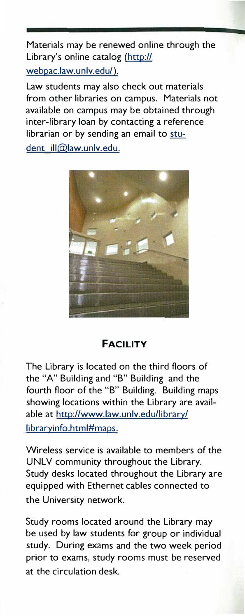Materials may be renewed online through the Library's online catalog (http:// webpac.law.unlv.edu/).

Law students may also check out materials from other libraries on campus. Materials not available on campus may be obtained through inter-library loan by contacting a reference librarian or by sending an email to stu-

dent ill@law.unlv.edu.



#### **FACILITY**

The Library is located on the third floors of the "A" Building and "B" Building and the fourth floor of the "B" Building. Building maps showing locations within the Library are available at http://www.law.unlv.edu/library/ libraryinfo.html#maps.

Wireless service is available to members of the UNLV community throughout the Library. Study desks located throughout the Library are equipped with Ethernet cables connected to the University network.

Study rooms located around the Library may be used by law students for group or individual study. During exams and the two week period prior to exams, study rooms must be reserved at the circulation desk.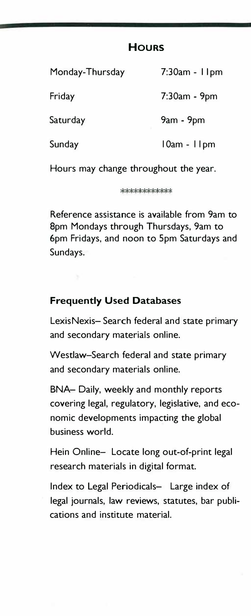#### **HOURS**

| Monday-Thursday | $7:30am - 11pm$ |
|-----------------|-----------------|
| Friday          | 7:30am - 9pm    |
| Saturday        | 9am - 9pm       |
| Sunday          | IOam - IIpm     |

Hours may change throughout the year.

#### \*\*\*\*\*\*\*\*\*\*\*

Reference assistance is available from 9am to 8pm Mondays through Thursdays, 9am to 6pm Fridays, and noon to 5pm Saturdays and Sundays.

#### **Frequently Used Databases**

LexisNexis- Search federal and state primary and secondary materials online.

Westlaw-Search federal and state primary and secondary materials online.

BNA- Daily, weekly and monthly reports covering legal, regulatory, legislative, and economic developments impacting the global business world.

Hein Online- Locate long out-of-print legal research materials in digital format.

Index to Legal Periodicals- Large index of legal journals, law reviews, statutes, bar publications and institute material.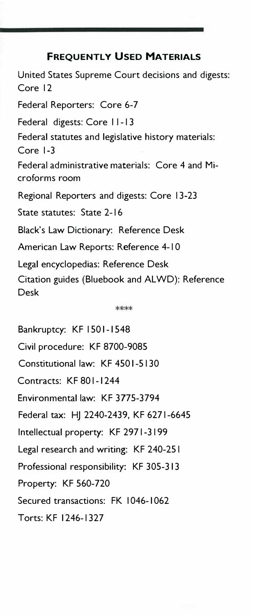#### **FREQUENTLY USED MATERIALS**

United States Supreme Court decisions and digests: Core 12 Federal Reporters: Core 6-7 Federal digests: Core 11-13 Federal statutes and legislative history materials: Core 1-3 Federal administrative materials: Core 4 and Microforms room Regional Reporters and digests: Core 13-23 State statutes: State 2-16 Black's Law Dictionary: Reference Desk American Law Reports: Reference 4-1 0 Legal encyclopedias: Reference Desk Citation guides (Bluebook and ALWD): Reference Desk

 $*$ 

Bankruptcy: KF 1501-1548 Civil procedure: KF 8700-9085 Constitutional law: KF 4501-5130 Contracts: KF 801-1244 Environmental law: KF 3775-3794 Federal tax: HJ 2240-2439, KF 6271-6645 Intellectual property: KF 2971-3199 Legal research and writing: KF 240-251 Professional responsibility: KF 305-3 13 Property: KF 560-720 Secured transactions: FK 1046-1062 Torts: KF 1246-1327